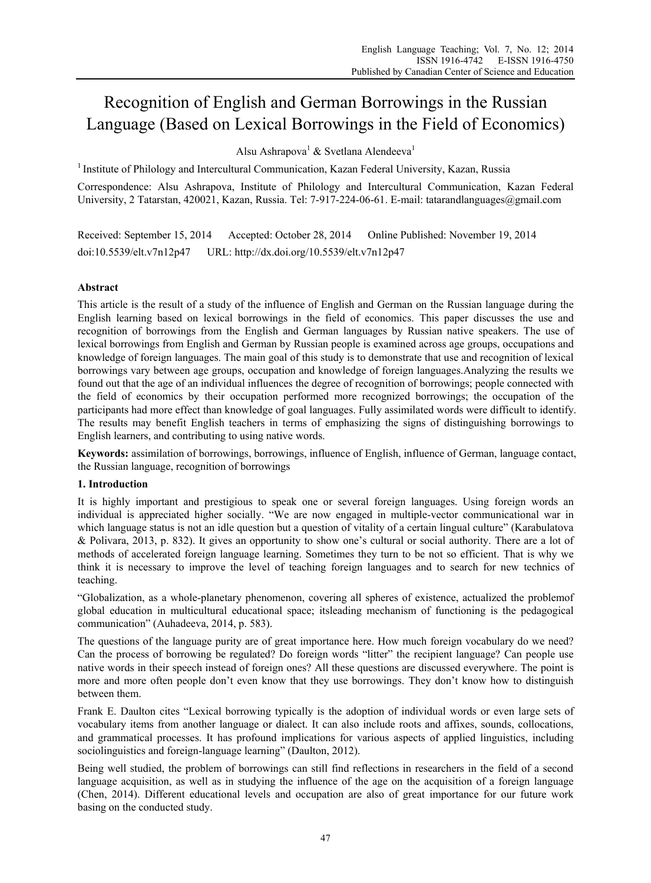# Recognition of English and German Borrowings in the Russian Language (Based on Lexical Borrowings in the Field of Economics)

Alsu Ashrapova<sup>1</sup> & Svetlana Alendeeva<sup>1</sup>

<sup>1</sup> Institute of Philology and Intercultural Communication, Kazan Federal University, Kazan, Russia

Correspondence: Alsu Ashrapova, Institute of Philology and Intercultural Communication, Kazan Federal University, 2 Tatarstan, 420021, Kazan, Russia. Tel: 7-917-224-06-61. E-mail: tatarandlanguages@gmail.com

Received: September 15, 2014 Accepted: October 28, 2014 Online Published: November 19, 2014 doi:10.5539/elt.v7n12p47 URL: http://dx.doi.org/10.5539/elt.v7n12p47

# **Abstract**

This article is the result of a study of the influence of English and German on the Russian language during the English learning based on lexical borrowings in the field of economics. This paper discusses the use and recognition of borrowings from the English and German languages by Russian native speakers. The use of lexical borrowings from English and German by Russian people is examined across age groups, occupations and knowledge of foreign languages. The main goal of this study is to demonstrate that use and recognition of lexical borrowings vary between age groups, occupation and knowledge of foreign languages.Analyzing the results we found out that the age of an individual influences the degree of recognition of borrowings; people connected with the field of economics by their occupation performed more recognized borrowings; the occupation of the participants had more effect than knowledge of goal languages. Fully assimilated words were difficult to identify. The results may benefit English teachers in terms of emphasizing the signs of distinguishing borrowings to English learners, and contributing to using native words.

**Keywords:** assimilation of borrowings, borrowings, influence of English, influence of German, language contact, the Russian language, recognition of borrowings

# **1. Introduction**

It is highly important and prestigious to speak one or several foreign languages. Using foreign words an individual is appreciated higher socially. "We are now engaged in multiple-vector communicational war in which language status is not an idle question but a question of vitality of a certain lingual culture" (Karabulatova & Polivara, 2013, p. 832). It gives an opportunity to show one's cultural or social authority. There are a lot of methods of accelerated foreign language learning. Sometimes they turn to be not so efficient. That is why we think it is necessary to improve the level of teaching foreign languages and to search for new technics of teaching.

"Globalization, as a whole-planetary phenomenon, covering all spheres of existence, actualized the problemof global education in multicultural educational space; itsleading mechanism of functioning is the pedagogical communication" (Auhadeeva, 2014, p. 583).

The questions of the language purity are of great importance here. How much foreign vocabulary do we need? Can the process of borrowing be regulated? Do foreign words "litter" the recipient language? Can people use native words in their speech instead of foreign ones? All these questions are discussed everywhere. The point is more and more often people don't even know that they use borrowings. They don't know how to distinguish between them.

Frank E. Daulton cites "Lexical borrowing typically is the adoption of individual words or even large sets of vocabulary items from another language or dialect. It can also include roots and affixes, sounds, collocations, and grammatical processes. It has profound implications for various aspects of applied linguistics, including sociolinguistics and foreign-language learning" (Daulton, 2012).

Being well studied, the problem of borrowings can still find reflections in researchers in the field of a second language acquisition, as well as in studying the influence of the age on the acquisition of a foreign language (Chen, 2014). Different educational levels and occupation are also of great importance for our future work basing on the conducted study.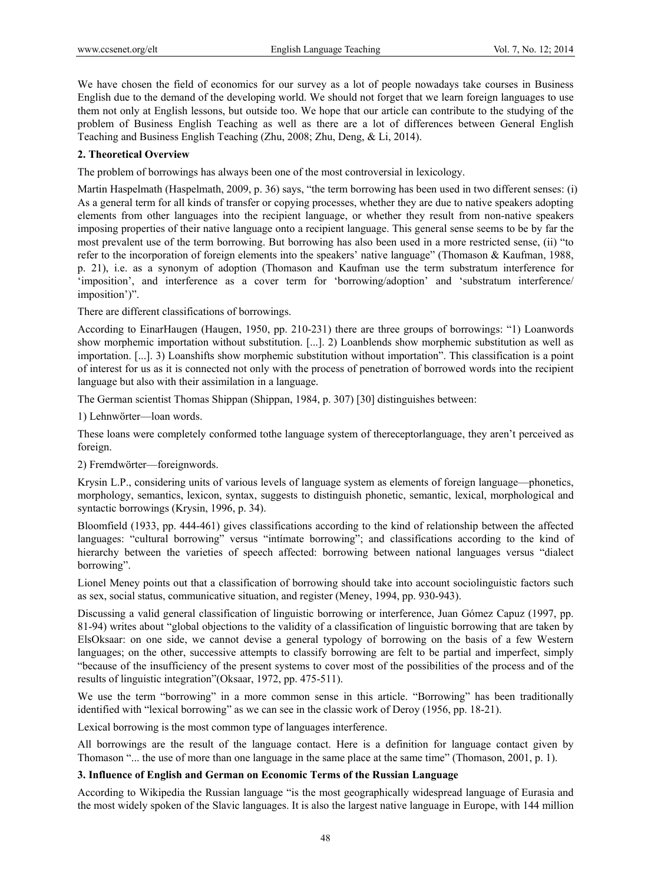We have chosen the field of economics for our survey as a lot of people nowadays take courses in Business English due to the demand of the developing world. We should not forget that we learn foreign languages to use them not only at English lessons, but outside too. We hope that our article can contribute to the studying of the problem of Business English Teaching as well as there are a lot of differences between General English Teaching and Business English Teaching (Zhu, 2008; Zhu, Deng, & Li, 2014).

## **2. Theoretical Overview**

The problem of borrowings has always been one of the most controversial in lexicology.

Martin Haspelmath (Haspelmath, 2009, p. 36) says, "the term borrowing has been used in two different senses: (i) As a general term for all kinds of transfer or copying processes, whether they are due to native speakers adopting elements from other languages into the recipient language, or whether they result from non-native speakers imposing properties of their native language onto a recipient language. This general sense seems to be by far the most prevalent use of the term borrowing. But borrowing has also been used in a more restricted sense, (ii) "to refer to the incorporation of foreign elements into the speakers' native language" (Thomason & Kaufman, 1988, p. 21), i.e. as a synonym of adoption (Thomason and Kaufman use the term substratum interference for 'imposition', and interference as a cover term for 'borrowing/adoption' and 'substratum interference/ imposition')".

There are different classifications of borrowings.

According to EinarHaugen (Haugen, 1950, pp. 210-231) there are three groups of borrowings: "1) Loanwords show morphemic importation without substitution. [...]. 2) Loanblends show morphemic substitution as well as importation. [...]. 3) Loanshifts show morphemic substitution without importation". This classification is a point of interest for us as it is connected not only with the process of penetration of borrowed words into the recipient language but also with their assimilation in a language.

The German scientist Thomas Shippan (Shippan, 1984, p. 307) [30] distinguishes between:

1) Lehnwörter—loan words.

These loans were completely conformed tothe language system of thereceptorlanguage, they aren't perceived as foreign.

2) Fremdwörter—foreignwords.

Krysin L.P., considering units of various levels of language system as elements of foreign language—phonetics, morphology, semantics, lexicon, syntax, suggests to distinguish phonetic, semantic, lexical, morphological and syntactic borrowings (Krysin, 1996, p. 34).

Bloomfield (1933, pp. 444-461) gives classifications according to the kind of relationship between the affected languages: "cultural borrowing" versus "intímate borrowing"; and classifícations according to the kind of hierarchy between the varieties of speech affected: borrowing between national languages versus "dialect borrowing".

Lionel Meney points out that a classification of borrowing should take into account sociolinguistic factors such as sex, social status, communicative situation, and register (Meney, 1994, pp. 930-943).

Discussing a valid general classification of linguistic borrowing or interference, Juan Gómez Capuz (1997, pp. 81-94) writes about "global objections to the validity of a classification of linguistic borrowing that are taken by ElsOksaar: on one side, we cannot devise a general typology of borrowing on the basis of a few Western languages; on the other, successive attempts to classify borrowing are felt to be partial and imperfect, simply "because of the insufficiency of the present systems to cover most of the possibilities of the process and of the results of linguistic integration"(Oksaar, 1972, pp. 475-511).

We use the term "borrowing" in a more common sense in this article. "Borrowing" has been traditionally identified with "lexical borrowing" as we can see in the classic work of Deroy (1956, pp. 18-21).

Lexical borrowing is the most common type of languages interference.

All borrowings are the result of the language contact. Here is a definition for language contact given by Thomason "... the use of more than one language in the same place at the same time" (Thomason, 2001, p. 1).

## **3. Influence of English and German on Economic Terms of the Russian Language**

According to Wikipedia the Russian language "is the most geographically widespread language of Eurasia and the most widely spoken of the Slavic languages. It is also the largest native language in Europe, with 144 million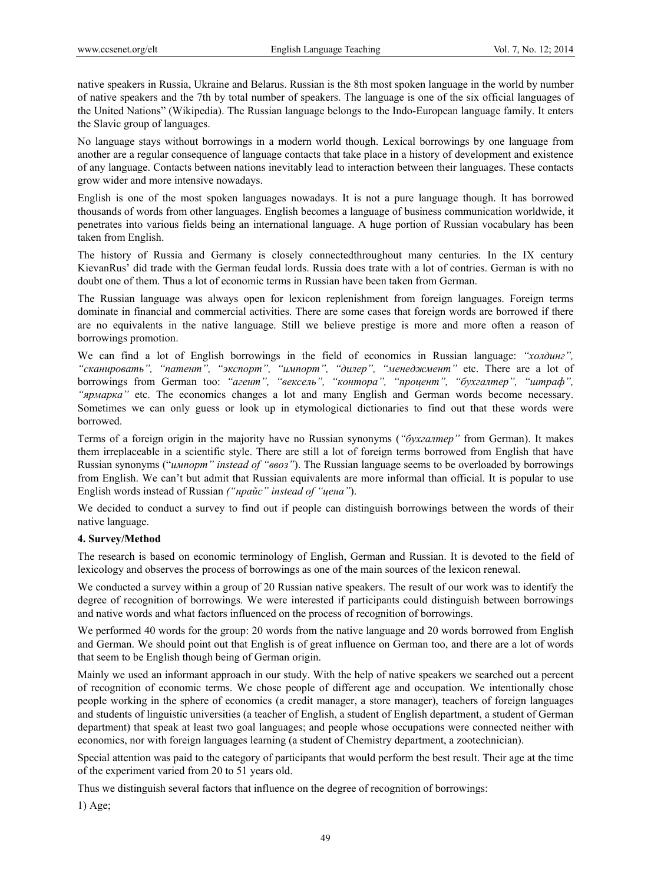native speakers in Russia, Ukraine and Belarus. Russian is the 8th most spoken language in the world by number of native speakers and the 7th by total number of speakers. The language is one of the six official languages of the United Nations" (Wikipedia). The Russian language belongs to the Indo-European language family. It enters the Slavic group of languages.

No language stays without borrowings in a modern world though. Lexical borrowings by one language from another are a regular consequence of language contacts that take place in a history of development and existence of any language. Contacts between nations inevitably lead to interaction between their languages. These contacts grow wider and more intensive nowadays.

English is one of the most spoken languages nowadays. It is not a pure language though. It has borrowed thousands of words from other languages. English becomes a language of business communication worldwide, it penetrates into various fields being an international language. A huge portion of Russian vocabulary has been taken from English.

The history of Russia and Germany is closely connectedthroughout many centuries. In the IX century KievanRus' did trade with the German feudal lords. Russia does trate with a lot of contries. German is with no doubt one of them. Thus a lot of economic terms in Russian have been taken from German.

The Russian language was always open for lexicon replenishment from foreign languages. Foreign terms dominate in financial and commercial activities. There are some cases that foreign words are borrowed if there are no equivalents in the native language. Still we believe prestige is more and more often a reason of borrowings promotion.

We can find a lot of English borrowings in the field of economics in Russian language: *"холдинг", "сканировать", "патент", "экспорт", "импорт", "дилер", "менеджмент"* etc. There are a lot of borrowings from German too: *"агент", "вексель", "контора", "процент", "бухгалтер", "штраф", "ярмарка"* etc. The economics changes a lot and many English and German words become necessary. Sometimes we can only guess or look up in etymological dictionaries to find out that these words were borrowed.

Terms of a foreign origin in the majority have no Russian synonyms (*"бухгалтер"* from German). It makes them irreplaceable in a scientific style. There are still a lot of foreign terms borrowed from English that have Russian synonyms ("*импорт" instead of "ввоз"*). The Russian language seems to be overloaded by borrowings from English. We can't but admit that Russian equivalents are more informal than official. It is popular to use English words instead of Russian *("прайс" instead of "цена"*).

We decided to conduct a survey to find out if people can distinguish borrowings between the words of their native language.

## **4. Survey/Method**

The research is based on economic terminology of English, German and Russian. It is devoted to the field of lexicology and observes the process of borrowings as one of the main sources of the lexicon renewal.

We conducted a survey within a group of 20 Russian native speakers. The result of our work was to identify the degree of recognition of borrowings. We were interested if participants could distinguish between borrowings and native words and what factors influenced on the process of recognition of borrowings.

We performed 40 words for the group: 20 words from the native language and 20 words borrowed from English and German. We should point out that English is of great influence on German too, and there are a lot of words that seem to be English though being of German origin.

Mainly we used an informant approach in our study. With the help of native speakers we searched out a percent of recognition of economic terms. We chose people of different age and occupation. We intentionally chose people working in the sphere of economics (a credit manager, a store manager), teachers of foreign languages and students of linguistic universities (a teacher of English, a student of English department, a student of German department) that speak at least two goal languages; and people whose occupations were connected neither with economics, nor with foreign languages learning (a student of Chemistry department, a zootechnician).

Special attention was paid to the category of participants that would perform the best result. Their age at the time of the experiment varied from 20 to 51 years old.

Thus we distinguish several factors that influence on the degree of recognition of borrowings:

1) Age;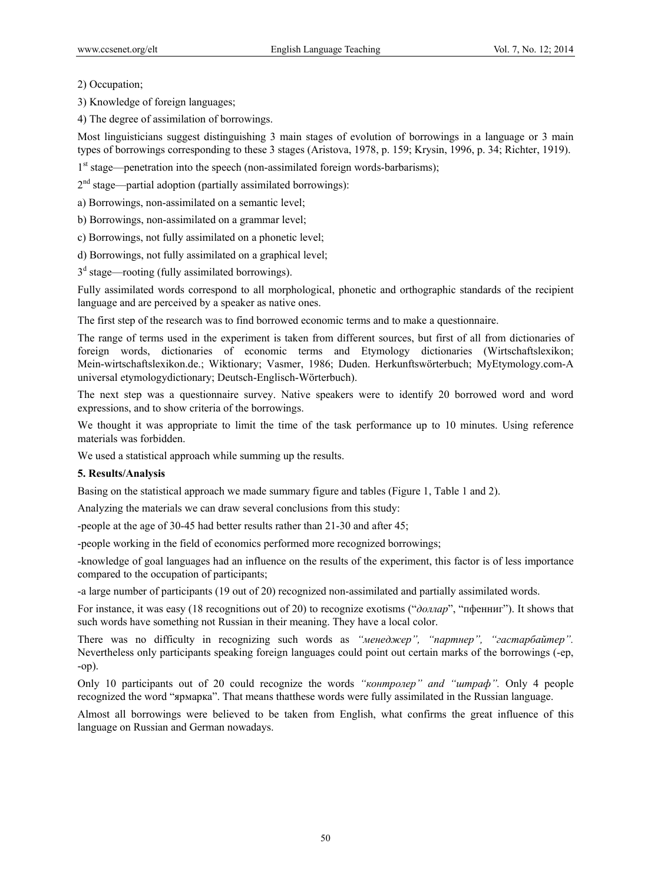2) Occupation;

3) Knowledge of foreign languages;

4) The degree of assimilation of borrowings.

Most linguisticians suggest distinguishing 3 main stages of evolution of borrowings in a language or 3 main types of borrowings corresponding to these 3 stages (Aristova, 1978, p. 159; Krysin, 1996, p. 34; Richter, 1919).

 $1<sup>st</sup> stage—penetration into the speech (non-assimulated foreign words-barbarisms);$ 

 $2<sup>nd</sup> stage—partial adoption (partially assimilated borrowing):$ 

a) Borrowings, non-assimilated on a semantic level;

b) Borrowings, non-assimilated on a grammar level;

c) Borrowings, not fully assimilated on a phonetic level;

d) Borrowings, not fully assimilated on a graphical level;

 $3<sup>d</sup>$  stage—rooting (fully assimilated borrowings).

Fully assimilated words correspond to all morphological, phonetic and orthographic standards of the recipient language and are perceived by a speaker as native ones.

The first step of the research was to find borrowed economic terms and to make a questionnaire.

The range of terms used in the experiment is taken from different sources, but first of all from dictionaries of foreign words, dictionaries of economic terms and Etymology dictionaries (Wirtschaftslexikon; Mein-wirtschaftslexikon.de.; Wiktionary; Vasmer, 1986; Duden. Herkunftswörterbuch; MyEtymology.com-A universal etymologydictionary; Deutsch-Englisch-Wörterbuch).

The next step was a questionnaire survey. Native speakers were to identify 20 borrowed word and word expressions, and to show criteria of the borrowings.

We thought it was appropriate to limit the time of the task performance up to 10 minutes. Using reference materials was forbidden.

We used a statistical approach while summing up the results.

## **5. Results/Analysis**

Basing on the statistical approach we made summary figure and tables (Figure 1, Table 1 and 2).

Analyzing the materials we can draw several conclusions from this study:

-people at the age of 30-45 had better results rather than 21-30 and after 45;

-people working in the field of economics performed more recognized borrowings;

-knowledge of goal languages had an influence on the results of the experiment, this factor is of less importance compared to the occupation of participants;

-a large number of participants (19 out of 20) recognized non-assimilated and partially assimilated words.

For instance, it was easy (18 recognitions out of 20) to recognize exotisms ("*доллар*", "пфенниг"). It shows that such words have something not Russian in their meaning. They have a local color.

There was no difficulty in recognizing such words as *"менеджер", "партнер", "гастарбайтер".*  Nevertheless only participants speaking foreign languages could point out certain marks of the borrowings (-ер, -ор).

Only 10 participants out of 20 could recognize the words *"контролер" and "штраф".* Only 4 people recognized the word "ярмарка". That means thatthese words were fully assimilated in the Russian language.

Almost all borrowings were believed to be taken from English, what confirms the great influence of this language on Russian and German nowadays.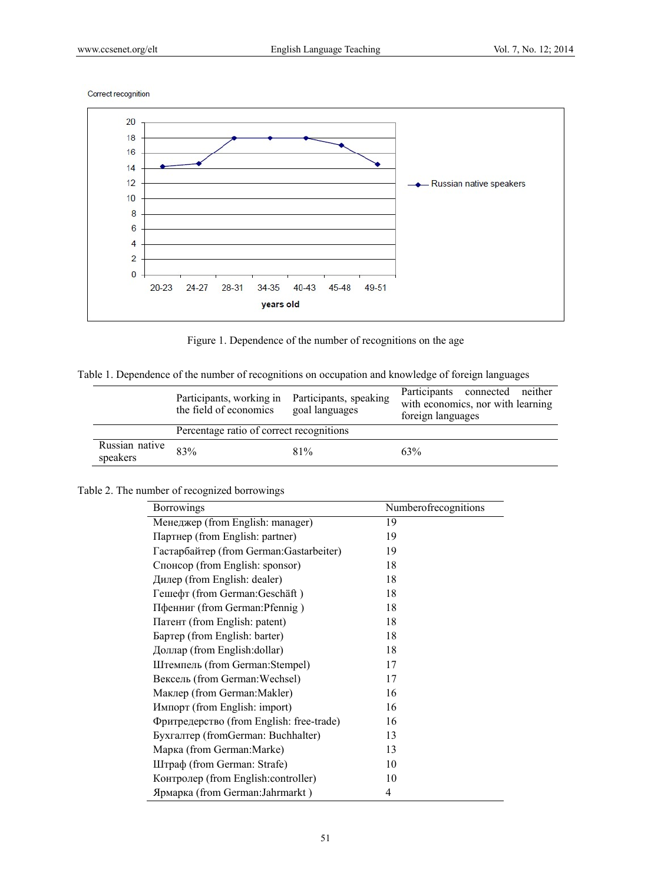Correct recognition



Figure 1. Dependence of the number of recognitions on the age

Table 1. Dependence of the number of recognitions on occupation and knowledge of foreign languages

|                            | Participants, working in<br>the field of economics | Participants, speaking<br>goal languages | Participants connected neither<br>with economics, nor with learning<br>foreign languages |
|----------------------------|----------------------------------------------------|------------------------------------------|------------------------------------------------------------------------------------------|
|                            | Percentage ratio of correct recognitions           |                                          |                                                                                          |
| Russian native<br>speakers | 83%                                                | 81%                                      | 63%                                                                                      |

Table 2. The number of recognized borrowings

| <b>Borrowings</b>                        | Numberofrecognitions |
|------------------------------------------|----------------------|
| Менеджер (from English: manager)         | 19                   |
| Партнер (from English: partner)          | 19                   |
| Гастарбайтер (from German: Gastarbeiter) | 19                   |
| Спонсор (from English: sponsor)          | 18                   |
| Дилер (from English: dealer)             | 18                   |
| Гешефт (from German:Geschäft)            | 18                   |
| Пфенниг (from German: Pfennig)           | 18                   |
| Патент (from English: patent)            | 18                   |
| Бартер (from English: barter)            | 18                   |
| Доллар (from English:dollar)             | 18                   |
| Штемпель (from German:Stempel)           | 17                   |
| Вексель (from German: Wechsel)           | 17                   |
| Маклер (from German:Makler)              | 16                   |
| Импорт (from English: import)            | 16                   |
| Фритредерство (from English: free-trade) | 16                   |
| Бухгалтер (fromGerman: Buchhalter)       | 13                   |
| Марка (from German:Marke)                | 13                   |
| Штраф (from German: Strafe)              | 10                   |
| Контролер (from English:controller)      | 10                   |
| Ярмарка (from German: Jahrmarkt)         | 4                    |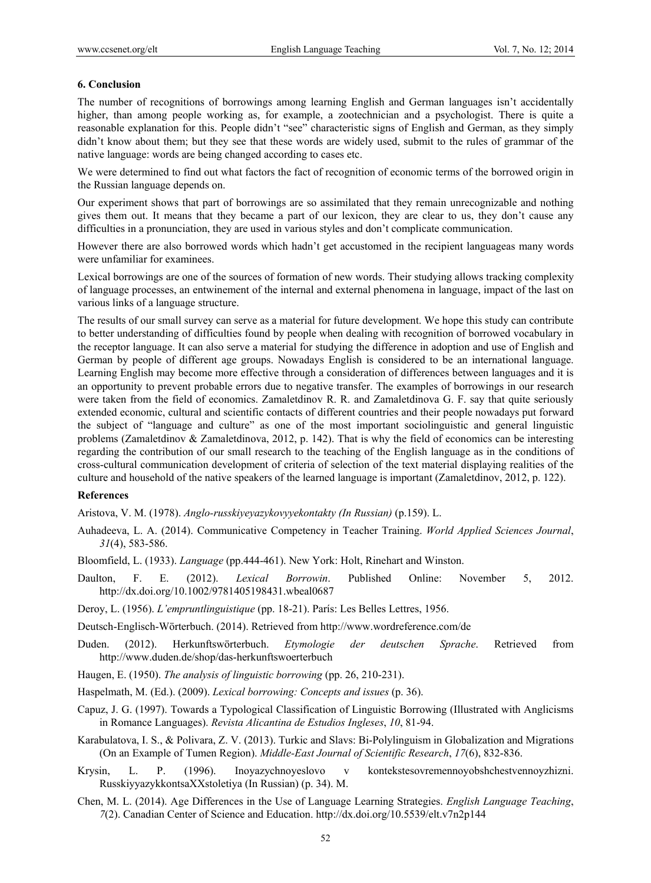#### **6. Conclusion**

The number of recognitions of borrowings among learning English and German languages isn't accidentally higher, than among people working as, for example, a zootechnician and a psychologist. There is quite a reasonable explanation for this. People didn't "see" characteristic signs of English and German, as they simply didn't know about them; but they see that these words are widely used, submit to the rules of grammar of the native language: words are being changed according to cases etc.

We were determined to find out what factors the fact of recognition of economic terms of the borrowed origin in the Russian language depends on.

Our experiment shows that part of borrowings are so assimilated that they remain unrecognizable and nothing gives them out. It means that they became a part of our lexicon, they are clear to us, they don't cause any difficulties in a pronunciation, they are used in various styles and don't complicate communication.

However there are also borrowed words which hadn't get accustomed in the recipient languageas many words were unfamiliar for examinees.

Lexical borrowings are one of the sources of formation of new words. Their studying allows tracking complexity of language processes, an entwinement of the internal and external phenomena in language, impact of the last on various links of a language structure.

The results of our small survey can serve as a material for future development. We hope this study can contribute to better understanding of difficulties found by people when dealing with recognition of borrowed vocabulary in the receptor language. It can also serve a material for studying the difference in adoption and use of English and German by people of different age groups. Nowadays English is considered to be an international language. Learning English may become more effective through a consideration of differences between languages and it is an opportunity to prevent probable errors due to negative transfer. The examples of borrowings in our research were taken from the field of economics. Zamaletdinov R. R. and Zamaletdinova G. F. say that quite seriously extended economic, cultural and scientific contacts of different countries and their people nowadays put forward the subject of "language and culture" as one of the most important sociolinguistic and general linguistic problems (Zamaletdinov & Zamaletdinova, 2012, p. 142). That is why the field of economics can be interesting regarding the contribution of our small research to the teaching of the English language as in the conditions of cross-cultural communication development of criteria of selection of the text material displaying realities of the culture and household of the native speakers of the learned language is important (Zamaletdinov, 2012, p. 122).

#### **References**

Aristova, V. М. (1978). *Anglo-russkiyeyazykovyyekontakty (In Russian)* (p.159). L.

- Auhadeeva, L. A. (2014). Communicative Competency in Teacher Training. *World Applied Sciences Journal*, *31*(4), 583-586.
- Bloomfield, L. (1933). *Language* (pp.444-461). New York: Holt, Rinehart and Winston.
- Daulton, F. E. (2012). *Lexical Borrowin*. Published Online: November 5, 2012. http://dx.doi.org/10.1002/9781405198431.wbeal0687
- Deroy, L. (1956). *L'empruntlinguistique* (pp. 18-21). París: Les Belles Lettres, 1956.

Deutsch-Englisch-Wörterbuch. (2014). Retrieved from http://www.wordreference.com/de

- Duden. (2012). Herkunftswörterbuch. *Etymologie der deutschen Sprache*. Retrieved from http://www.duden.de/shop/das-herkunftswoerterbuch
- Haugen, E. (1950). *The analysis of linguistic borrowing* (pp. 26, 210-231).
- Haspelmath, M. (Ed.). (2009). *Lexical borrowing: Concepts and issues* (p. 36).
- Capuz, J. G. (1997). Towards a Typological Classification of Linguistic Borrowing (Illustrated with Anglicisms in Romance Languages). *Revista Alicantina de Estudios Ingleses*, *10*, 81-94.
- Karabulatova, I. S., & Polivara, Z. V. (2013). Turkic and Slavs: Bi-Polylinguism in Globalization and Migrations (On an Example of Tumen Region). *Middle-East Journal of Scientific Research*, *17*(6), 832-836.
- Krysin, L. P. (1996). Inoyazychnoyeslovo v kontekstesovremennoyobshchestvennoyzhizni. RusskiyyazykkontsaХХstoletiya (In Russian) (p. 34). М.
- Chen, M. L. (2014). Age Differences in the Use of Language Learning Strategies. *English Language Teaching*, *7*(2). Canadian Center of Science and Education. http://dx.doi.org/10.5539/elt.v7n2p144